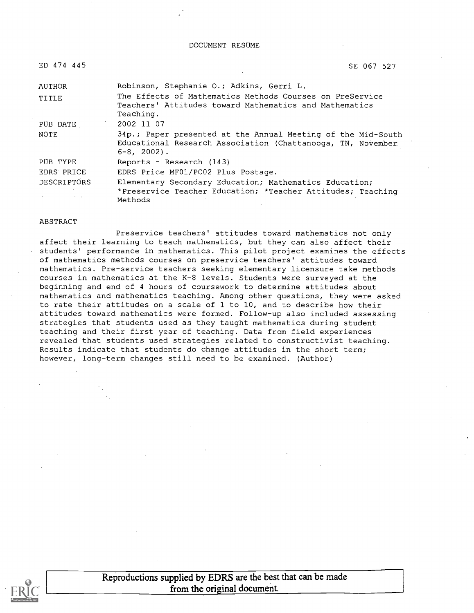| ED. | 474 | 445 |
|-----|-----|-----|
|-----|-----|-----|

SE 067 527

| AUTHOR             | Robinson, Stephanie O.; Adkins, Gerri L.                                                                                                        |
|--------------------|-------------------------------------------------------------------------------------------------------------------------------------------------|
| TITLE              | The Effects of Mathematics Methods Courses on PreService<br>Teachers' Attitudes toward Mathematics and Mathematics                              |
|                    | Teaching.                                                                                                                                       |
| PUB DATE           | $-2002 - 11 - 07$                                                                                                                               |
| NOTE               | 34p.; Paper presented at the Annual Meeting of the Mid-South<br>Educational Research Association (Chattanooga, TN, November<br>$6 - 8$ , 2002). |
| PUB TYPE           | Reports - Research (143)                                                                                                                        |
| EDRS PRICE         | EDRS Price MF01/PC02 Plus Postage.                                                                                                              |
| <b>DESCRIPTORS</b> | Elementary Secondary Education; Mathematics Education;<br>*Preservice Teacher Education; *Teacher Attitudes; Teaching<br>Methods                |

#### ABSTRACT

Preservice teachers' attitudes toward mathematics not only affect their learning to teach mathematics, but they can also affect their students' performance in mathematics. This pilot project examines the effects of mathematics methods courses on preservice teachers' attitudes toward mathematics. Pre-service teachers seeking elementary licensure take methods courses in mathematics at the K-8 levels. Students were surveyed at the beginning and end of 4 hours of coursework to determine attitudes about mathematics and mathematics teaching. Among other questions, they were asked to rate their attitudes on a scale of 1 to 10, and to describe how their attitudes toward mathematics were formed. Follow-up also included assessing strategies that students used as they taught mathematics during student teaching and their first year of teaching. Data from field experiences revealed that students used strategies related to constructivist teaching. Results indicate that students do change attitudes in the short term; however, long-term changes still need to be examined. (Author)

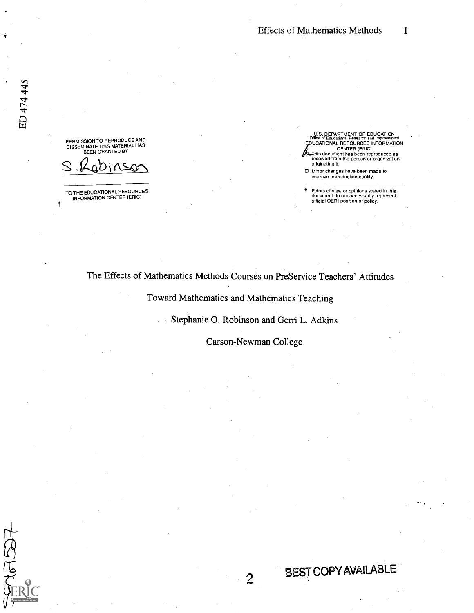PERMISSION TO REPRODUCE AND DISSEMINATE THIS MATERIAL HAS BEEN GRANTED BY

S.Robinson

TO THE EDUCATIONAL RESOURCES INFORMATION CENTER (ERIC)

1

U.S. DEPARTMENT OF EDUCATION Office of Educational Research and Improvement EDUCATIONAL RESOURCES INFORMATION CENTER (ERIC) is document has been reproduced as received from the person or organization originating it.

Minor changes have been made to improve reproduction quality.

BEST COPYAVAILABLE

Points of view or opinions stated in this document do not necessarily represent official OERI position or policy.

### The Effects of Mathematics Methods Courses on PreService Teachers' Attitudes

Toward Mathematics and Mathematics Teaching

Stephanie 0. Robinson and Gerri L. Adkins  $\mathbb{R}^{\mathbb{Z}}$ 

Carson-Newman College

 $\mathbf{2}$ 

 $767537$ 

 $\hat{\mathbf{y}}$  is a set of  $\hat{\mathbf{y}}$ 

ED 474 445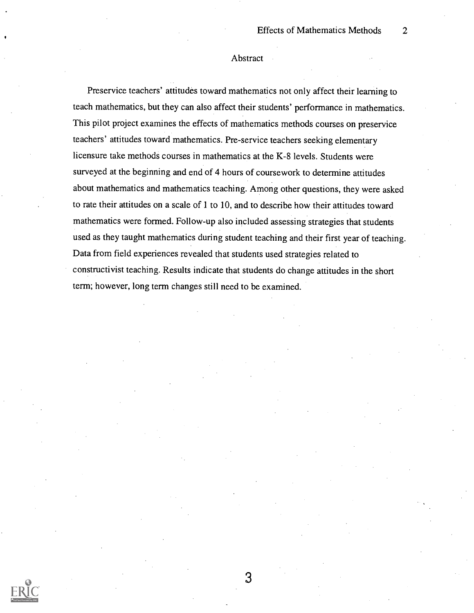#### Abstract

Preservice teachers' attitudes toward mathematics not only affect their learning to teach mathematics, but they can also affect their students' performance in mathematics. This pilot project examines the effects of mathematics methods courses on preservice teachers' attitudes toward mathematics. Pre-service teachers seeking elementary licensure take methods courses in mathematics at the K-8 levels. Students were surveyed at the beginning and end of 4 hours of coursework to determine attitudes about mathematics and mathematics teaching. Among other questions, they were asked to rate their attitudes on a scale of 1 to 10, and to describe how their attitudes toward mathematics were formed. Follow-up also included assessing strategies that students used as they taught mathematics during student teaching and their first year of teaching. Data from field experiences revealed that students used strategies related to constructivist teaching. Results indicate that students do change attitudes in the short term; however, long term changes still need to be examined.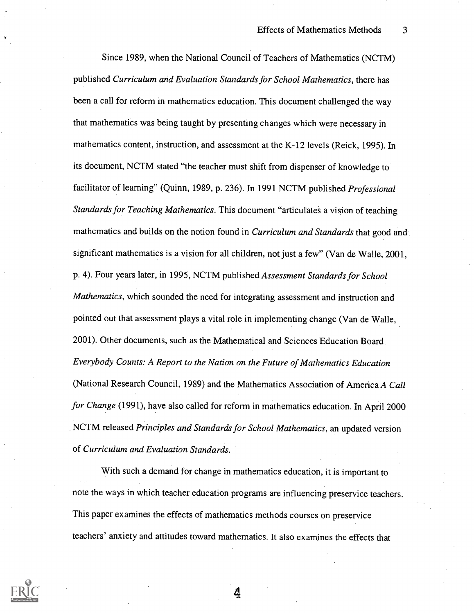Since 1989, when the National Council of Teachers of Mathematics (NCTM) published Curriculum and Evaluation Standards for School Mathematics, there has been a call for reform in mathematics education. This document challenged the way that mathematics was being taught by presenting changes which were necessary in mathematics content, instruction, and assessment at the K-12 levels (Reick, 1995). In its document, NCTM stated "the teacher must shift from dispenser of knowledge to facilitator of learning" (Quinn, 1989, p. 236). In 1991 NCTM published Professional Standards for Teaching Mathematics. This document "articulates a vision of teaching mathematics and builds on the notion found in *Curriculum and Standards* that good and significant mathematics is a vision for all children, not just a few" (Van de Walle, 2001, p. 4). Four years later, in 1995, NCTM published Assessment Standards for School Mathematics, which sounded the need for integrating assessment and instruction and pointed out that assessment plays a vital role in implementing change (Van de Walle, 2001). Other documents, such as the Mathematical and Sciences Education Board Everybody Counts: A Report to the Nation on the Future of Mathematics Education (National Research Council, 1989) and the Mathematics Association of America A Call for Change (1991), have also called for reform in mathematics education. In April 2000 NCTM released Principles and Standards for School Mathematics, an updated version of Curriculum and Evaluation Standards.

With such a demand for change in mathematics education, it is important to note the ways in which teacher education programs are influencing preservice teachers. This paper examines the effects of mathematics methods courses on preservice teachers' anxiety and attitudes toward mathematics. It also examines the effects that

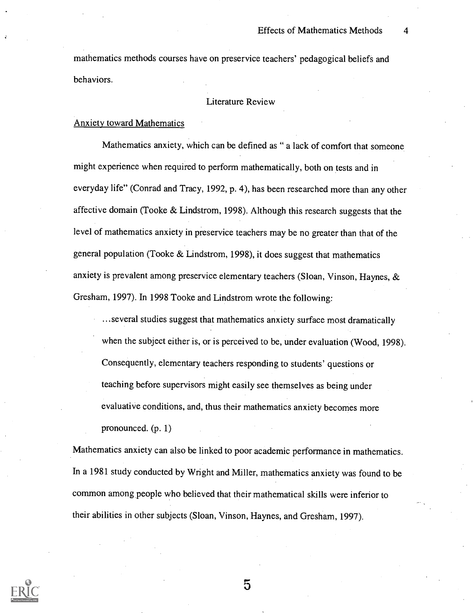mathematics methods courses have on preservice teachers' pedagogical beliefs and behaviors.

### Literature Review

#### Anxiety toward Mathematics

Mathematics anxiety, which can be defined as " a lack of comfort that someone might experience when required to perform mathematically, both on tests and in everyday life" (Conrad and Tracy, 1992, p. 4), has been researched more than any other affective domain (Tooke & Lindstrom, 1998). Although this research suggests that the level of mathematics anxiety in preservice teachers may be no greater than that of the general population (Tooke & Lindstrom, 1998), it does suggest that mathematics anxiety is prevalent among preservice elementary teachers (Sloan, Vinson, Haynes, & Gresham, 1997). In 1998 Tooke and Lindstrom wrote the following:

...several studies suggest that mathematics anxiety surface most dramatically when the subject either is, or is perceived to be, under evaluation (Wood, 1998). Consequently, elementary teachers responding to students' questions or teaching before supervisors might easily see themselves as being under evaluative conditions, and, thus their mathematics anxiety becomes more pronounced. (p. 1)

Mathematics anxiety can also be linked to poor academic performance in mathematics. In a 1981 study conducted by Wright and Miller, mathematics anxiety was found to be common among people who believed that their mathematical skills were inferior to their abilities in other subjects (Sloan, Vinson, Haynes, and Gresham, 1997).

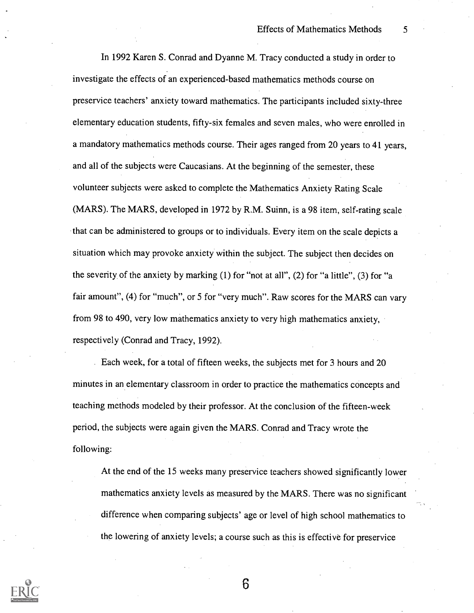In 1992 Karen S. Conrad and Dyanne M. Tracy conducted a study in order to investigate the effects of an experienced-based mathematics methods course on preservice teachers' anxiety toward mathematics. The participants included sixty-three elementary education students, fifty-six females and seven males, who were enrolled in a mandatory mathematics methods course. Their ages ranged from 20 years to 41 years, and all of the subjects were Caucasians. At the beginning of the semester, these volunteer subjects were asked to complete the Mathematics Anxiety Rating Scale (MARS). The MARS, developed in 1972 by R.M. Suinn, is a 98 item, self-rating scale that can be administered to groups or to individuals. Every item on the scale depicts a situation which may provoke anxiety within the subject. The subject then decides on the severity of the anxiety by marking (1) for "not at all", (2) for "a little", (3) for "a fair amount", (4) for "much", or 5 for "very much". Raw scores for the MARS can vary from 98 to 490, very low mathematics anxiety to very high mathematics anxiety, respectively (Conrad and Tracy, 1992).

Each week, for a total of fifteen weeks, the subjects met for 3 hours and 20 minutes in an elementary classroom in order to practice the mathematics concepts and teaching methods modeled by their professor. At the conclusion of the fifteen-week period, the subjects were again given the MARS. Conrad and Tracy wrote the following:

At the end of the 15 weeks many preservice teachers showed significantly lower mathematics anxiety levels as measured by the MARS. There was no significant difference when comparing subjects' age or level of high school mathematics to the lowering of anxiety levels; a course such as this is effective for preservice

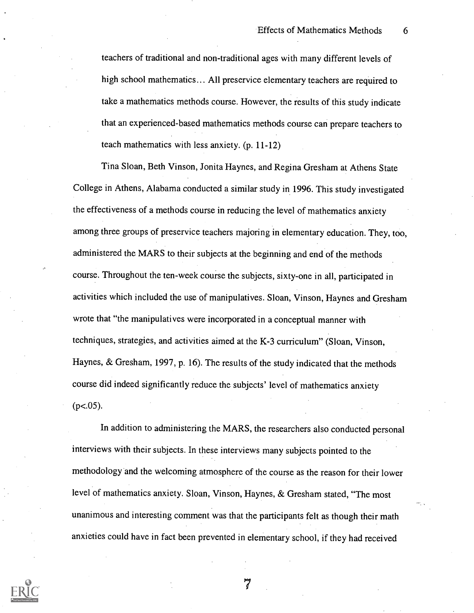teachers of traditional and non-traditional ages with many different levels of high school mathematics... All preservice elementary teachers are required to take a mathematics methods course. However, the results of this study indicate that an experienced-based mathematics methods course can prepare teachers to teach mathematics with less anxiety. (p. 11-12)

Tina Sloan, Beth Vinson, Jonita Haynes, and Regina Gresham at Athens State College in Athens, Alabama conducted a similar study in 1996. This study investigated the effectiveness of a methods course in reducing the level of mathematics anxiety among three groups of preservice teachers majoring in elementary education. They, too, administered the MARS to their subjects at the beginning and end of the methods course. Throughout the ten-week course the subjects, sixty-one in all, participated in activities which included the use of manipulatives. Sloan, Vinson, Haynes and Gresham wrote that "the manipulatives were incorporated in a conceptual manner with techniques, strategies, and activities aimed at the K-3 curriculum" (Sloan, Vinson, Haynes, & Gresham, 1997, p. 16). The results of the study indicated that the methods course did indeed significantly reduce the subjects' level of mathematics anxiety  $(p<.05)$ .

In addition to administering the MARS, the researchers also conducted personal interviews with their subjects. In these interviews many subjects pointed to the methodology and the welcoming atmosphere of the course as the reason for their lower level of mathematics anxiety. Sloan, Vinson, Haynes, & Gresham stated, "The most unanimous and interesting comment was that the participants felt as though their math anxieties could have in fact been prevented in elementary school, if they had received

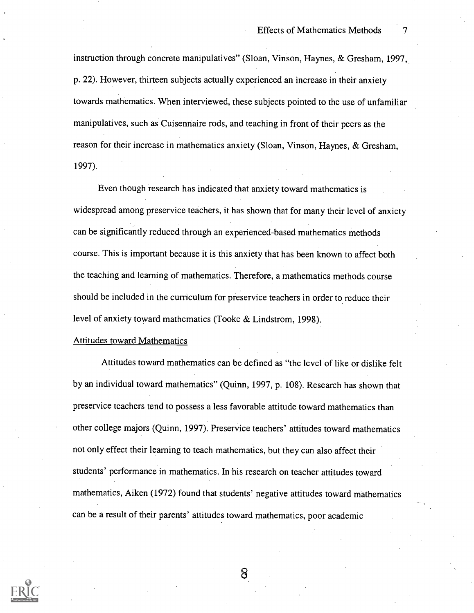instruction through concrete manipulatives" (Sloan, Vinson, Haynes, & Gresham, 1997, p. 22). However, thirteen subjects actually experienced an increase in their anxiety towards mathematics. When interviewed, these subjects pointed to the use of unfamiliar manipulatives, such as Cuisennaire rods, and teaching in front of their peers as the reason for their increase in mathematics anxiety (Sloan, Vinson, Haynes, & Gresham, 1997).

Even though research has indicated that anxiety toward mathematics is widespread among preservice teachers, it has shown that for many their level of anxiety can be significantly reduced through an experienced-based mathematics methods course. This is important because it is this anxiety that has been known to affect both the teaching and learning of mathematics. Therefore, a mathematics methods course should be included in the curriculum for preservice teachers in order to reduce their level of anxiety toward mathematics (Tooke & Lindstrom, 1998).

#### Attitudes toward Mathematics

Attitudes toward mathematics can be defined as "the level of like or dislike felt by an individual toward mathematics" (Quinn, 1997, p. 108). Research has shown that preservice teachers tend to possess a less favorable attitude toward mathematics than other college majors (Quinn, 1997). Preservice teachers' attitudes toward mathematics not only effect their learning to teach mathematics, but they can also affect their students' performance in mathematics. In his research on teacher attitudes toward mathematics, Aiken (1972) found that students' negative attitudes toward mathematics can be a result of their parents' attitudes toward mathematics, poor academic

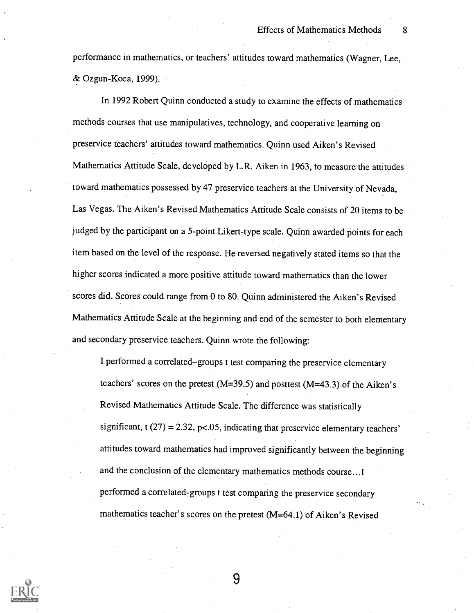performance in mathematics, or teachers' attitudes toward mathematics (Wagner, Lee, & Ozgun-Koca, 1999).

In 1992 Robert Quinn conducted a study to examine the effects of mathematics methods courses that use manipulatives, technology, and cooperative learning on preservice teachers' attitudes toward mathematics. Quinn used Aiken's Revised Mathematics Attitude Scale, developed by L.R. Aiken in 1963, to measure the attitudes toward mathematics possessed by 47 preservice teachers at the University of Nevada, Las Vegas. The Aiken's Revised Mathematics Attitude Scale consists of 20 items to be judged by the participant on a 5-point Likert-type scale. Quinn awarded points for each item based on the level of the response. He reversed negatively stated items so that the higher scores indicated a more positive attitude toward mathematics than the lower scores did. Scores could range from 0 to 80. Quinn administered the Aiken's Revised Mathematics Attitude Scale at the beginning and end of the semester to both elementary and secondary preservice teachers. Quinn wrote the following:

I performed a correlated-groups t test comparing the preservice elementary teachers' scores on the pretest (M=39.5) and posttest (M=43.3) of the Aiken's Revised Mathematics Attitude Scale. The difference was statistically significant,  $t(27) = 2.32$ ,  $p<0.05$ , indicating that preservice elementary teachers' attitudes toward mathematics had improved significantly between the beginning and the conclusion of the elementary mathematics methods course...I performed a correlated-groups t test comparing the preservice secondary mathematics teacher's scores on the pretest (M=64.1) of Aiken's Revised

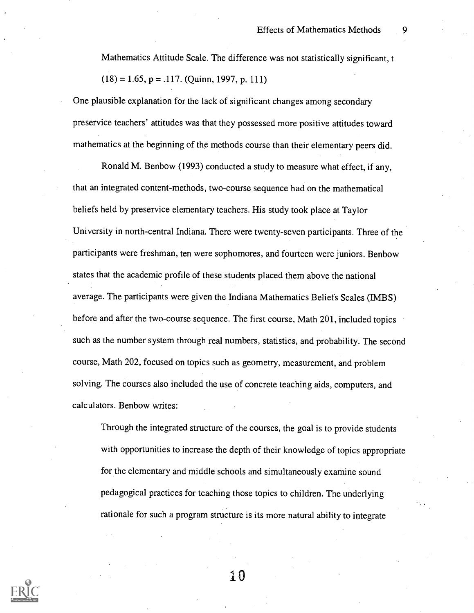Mathematics Attitude Scale. The difference was not statistically significant, t  $(18) = 1.65$ , p = .117. (Quinn, 1997, p. 111)

One plausible explanation for the lack of significant changes among secondary preservice teachers' attitudes was that they possessed more positive attitudes toward mathematics at the beginning of the methods course than their elementary peers did.

Ronald M. Benbow (1993) conducted a study to measure what effect, if any, that an integrated content-methods, two-course sequence had on the mathematical beliefs held by preservice elementary teachers. His study took place at Taylor University in north-central Indiana. There were twenty-seven participants. Three of the participants were freshman, ten were sophomores, and fourteen were juniors. Benbow states that the academic profile of these students placed them above the national average. The participants were given the Indiana Mathematics Beliefs Scales (IMBS) before and after the two-course sequence. The first course, Math 201, included topics such as the number system through real numbers, statistics, and probability. The second course, Math 202, focused on topics such as geometry, measurement, and problem solving. The courses also included the use of concrete teaching aids, computers, and calculators. Benbow writes:

Through the integrated structure of the courses, the goal is to provide students with opportunities to increase the depth of their knowledge of topics appropriate for the elementary and middle schools and simultaneously examine sound pedagogical practices for teaching those topics to children. The underlying rationale for such a program structure is its more natural ability to integrate



g0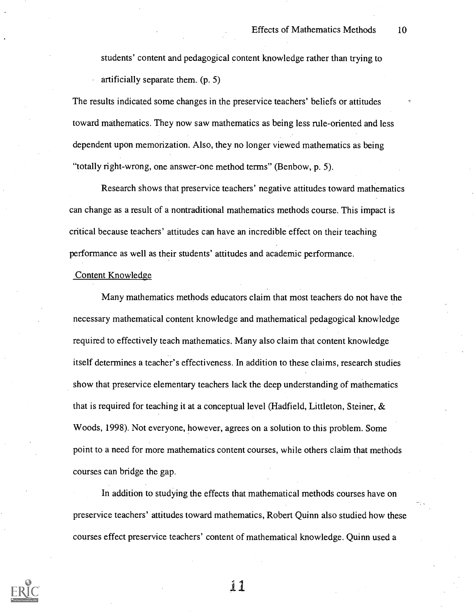students' content and pedagogical content knowledge rather than trying to artificially separate them. (p. 5)

The results indicated some changes in the preservice teachers' beliefs or attitudes toward mathematics. They now saw mathematics as being less rule-oriented and less dependent upon memorization. Also, they no longer viewed mathematics as being "totally right-wrong, one answer-one method terms" (Benbow, p. 5).

Research shows that preservice teachers' negative attitudes toward mathematics can change as a result of a nontraditional mathematics methods course. This impact is critical because teachers' attitudes can have an incredible effect on their teaching performance as well as their students' attitudes and academic performance.

#### Content Knowledge

Many mathematics methods educators claim that most teachers do not have the necessary mathematical content knowledge and mathematical pedagogical knowledge required to effectively teach mathematics. Many also claim that content knowledge itself determines a teacher's effectiveness. In addition to these claims, research studies show that preservice elementary teachers lack the deep understanding of mathematics that is required for teaching it at a conceptual level (Hadfield, Littleton, Steiner, & Woods, 1998). Not everyone, however, agrees on a solution to this problem. Some point to a need for more mathematics content courses, while others claim that methods courses can bridge the gap.

In addition to studying the effects that mathematical methods courses have on preservice teachers' attitudes toward mathematics, Robert Quinn also studied how these courses effect preservice teachers' content of mathematical knowledge. Quinn used a

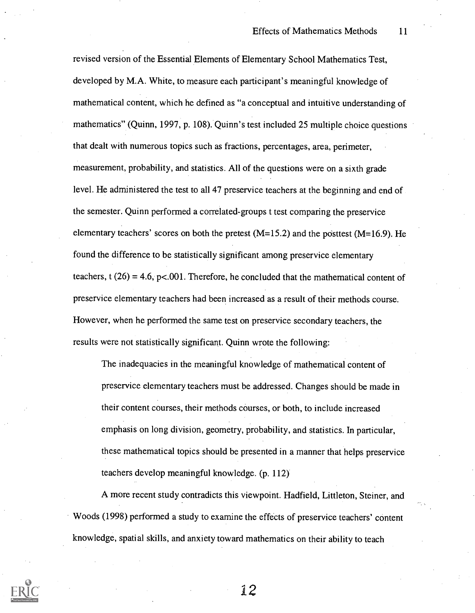revised version of the Essential Elements of Elementary School Mathematics Test, developed by M.A. White, to measure each participant's meaningful knowledge of mathematical content, which he defined as "a conceptual and intuitive understanding of mathematics" (Quinn, 1997, p. 108). Quinn's test included 25 multiple choice questions that dealt with numerous topics such as fractions, percentages, area, perimeter, measurement, probability, and statistics. All of the questions were on a sixth grade level. He administered the test to all 47 preservice teachers at the beginning and end of the semester. Quinn performed a correlated-groups t test comparing the preservice elementary teachers' scores on both the pretest  $(M=15.2)$  and the posttest  $(M=16.9)$ . He found the difference to be statistically significant among preservice elementary teachers,  $t(26) = 4.6$ ,  $p<.001$ . Therefore, he concluded that the mathematical content of preservice elementary teachers had been increased as a result of their methods course. However, when he performed the same test on preservice secondary teachers, the results were not statistically significant. Quinn wrote the following:

The inadequacies in the meaningful knowledge of mathematical content of preservice elementary teachers must be addressed. Changes should be made in their content courses, their methods courses, or both, to include increased emphasis on long division, geometry, probability, and statistics. In particular, these mathematical topics should be presented in a manner that helps preservice teachers develop meaningful knowledge. (p. 112)

A more recent study contradicts this viewpoint. Hadfield, Littleton, Steiner, and Woods (1998) performed a study to examine the effects of preservice teachers' content knowledge, spatial skills, and anxiety toward mathematics on their ability to teach

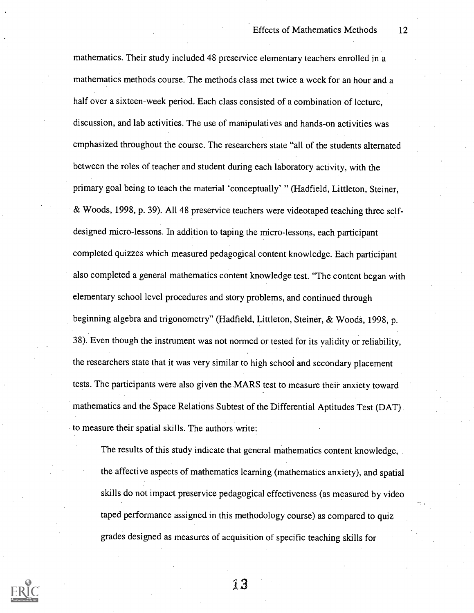mathematics. Their study included 48 preservice elementary teachers enrolled in a mathematics methods course. The methods class met twice a week for an hour and a half over a sixteen-week period. Each class consisted of a combination of lecture, discussion, and lab activities. The use of manipulatives and hands-on activities was emphasized throughout the course. The researchers state "all of the students alternated between the roles of teacher and student during each laboratory activity, with the primary goal being to teach the material 'conceptually' " (Hadfield, Littleton, Steiner, & Woods, 1998, p. 39). All 48 preservice teachers were videotaped teaching three selfdesigned micro-lessons. In addition to taping the micro-lessons, each participant completed quizzes which measured pedagogical content knowledge. Each participant also completed a general mathematics content knowledge test. "The content began with elementary school level procedures and story problems, and continued through beginning algebra and trigonometry" (Hadfield, Littleton, Steiner, & Woods, 1998, p. 38). Even though the instrument was not normed or tested for its validity or reliability, the researchers state that it was very similar to high school and secondary placement tests. The participants were also given the MARS test to measure their anxiety toward mathematics and the Space Relations Subtest of the Differential Aptitudes Test (DAT) to measure their spatial skills. The authors write:

The results of this study indicate that general mathematics content knowledge, the affective aspects of mathematics learning (mathematics anxiety), and spatial skills do not impact preservice pedagogical effectiveness (as measured by video taped performance assigned in this methodology course) as compared to quiz grades designed as measures of acquisition of specific teaching skills for

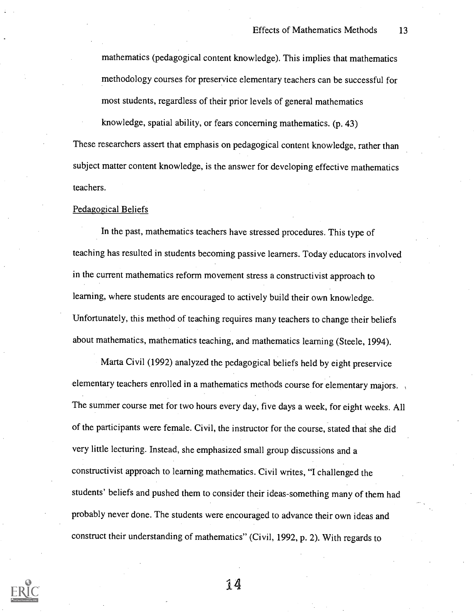mathematics (pedagogical content knowledge). This implies that mathematics methodology courses for preservice elementary teachers can be successful for most students, regardless of their prior levels of general mathematics knowledge, spatial ability, or fears concerning mathematics. (p. 43) These researchers assert that emphasis on pedagogical content knowledge, rather than subject matter content knowledge, is the answer for developing effective mathematics teachers.

#### Pedagogical Beliefs

In the past, mathematics teachers have stressed procedures. This type of teaching has resulted in students becoming passive learners. Today educators involved in the current mathematics reform movement stress a constructivist approach to learning, where students are encouraged to actively build their own knowledge. Unfortunately, this method of teaching requires many teachers to change their beliefs about mathematics, mathematics teaching, and mathematics learning (Steele, 1994).

Marta Civil (1992) analyzed the pedagogical beliefs held by eight preservice elementary teachers enrolled in a mathematics methods course for elementary majors. The summer course met for two hours every day, five days a week, for eight weeks. All of the participants were female. Civil, the instructor for the course, stated that she did very little lecturing. Instead, she emphasized small group discussions and a constructivist approach to learning mathematics. Civil writes, "I challenged the students' beliefs and pushed them to consider their ideas-something many of them had probably never done. The students were encouraged to advance their own ideas and construct their understanding of mathematics" (Civil, 1992, p. 2). With regards to

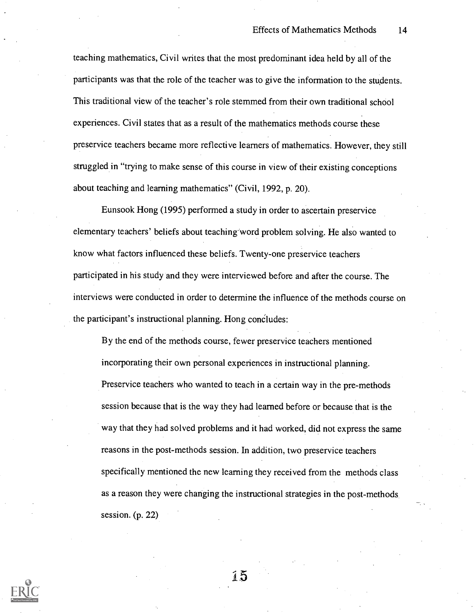teaching mathematics, Civil writes that the most predominant idea held by all of the participants was that the role of the teacher was to give the information to the students. This traditional view of the teacher's role stemmed from their own traditional school experiences. Civil states that as a result of the mathematics methods course these preservice teachers became more reflective learners of mathematics. However, they still struggled in "trying to make sense of this course in view of their existing conceptions about teaching and learning mathematics" (Civil, 1992, p. 20).

Eunsook Hong (1995) performed a study in order to ascertain preservice elementary teachers' beliefs about teaching-Word problem solving. He also wanted to know what factors influenced these beliefs. Twenty-one preservice teachers participated in his study and they were interviewed before and after the course. The interviews were conducted in order to determine the influence of the methods course on the participant's instructional planning. Hong concludes:

By the end of the methods course, fewer preservice teachers mentioned incorporating their own personal experiences in instructional planning. Preservice teachers who wanted to teach in a certain way in the pre-methods session because that is the way they had learned before or because that is the way that they had solved problems and it had worked, did not express the same reasons in the post-methods session. In addition, two preservice teachers specifically mentioned the new learning they received from the methods class as a reason they were changing the instructional strategies in the post-methods session. (p. 22)



1.5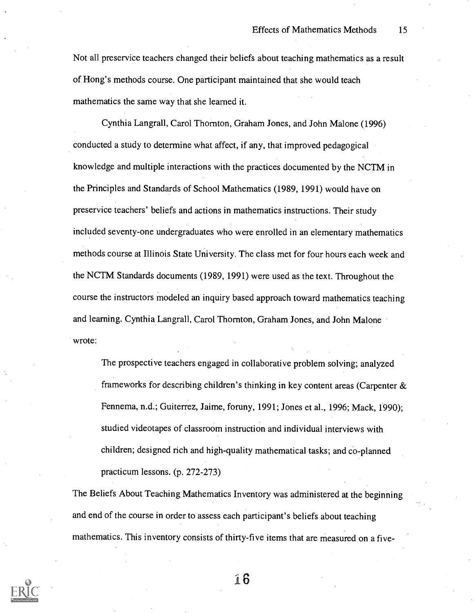Not all preservice teachers changed their beliefs about teaching mathematics as a result of Hong's methods course. One participant maintained that she would teach mathematics the same way that she learned it.

Cynthia Langrall, Carol Thornton, Graham Jones, and John Malone (1996) conducted a study to determine what affect, if any, that improved pedagogical knowledge and multiple interactions with the practices documented by the NCTM in the Principles and Standards of School Mathematics (1989, 1991) would have on preservice teachers' beliefs and actions in mathematics instructions. Their study included seventy-one undergraduates who were enrolled in an elementary mathematics methods course at Illinois State University. The class met for four hours each week and the NCTM Standards documents (1989, 1991) were used as the text. Throughout the course the instructors modeled an inquiry based approach toward mathematics teaching and learning. Cynthia Langrall, Carol Thornton, Graham Jones, and John Malone wrote:

The prospective teachers engaged in collaborative problem solving; analyzed frameworks for describing children's thinking in key content areas (Carpenter & Fennema, n.d.; Guiterrez, Jaime, foruny, 1991; Jones et al., 1996; Mack, 1990); studied videotapes of classroom instruction and individual interviews with children; designed rich and high-quality mathematical tasks; and co-planned practicum lessons. (p. 272-273)

The Beliefs About Teaching Mathematics Inventory was administered at the beginning and end of the course in order to assess each participant's beliefs about teaching mathematics. This inventory consists of thirty-five items that are measured on a five-

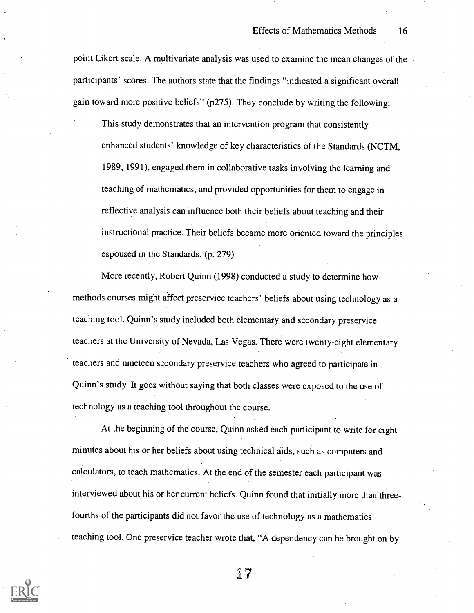point Likert scale. A multivariate analysis was used to examine the mean changes of the participants' scores. The authors state that the findings "indicated a significant overall gain toward more positive beliefs" ( $p275$ ). They conclude by writing the following:

This study demonstrates that an intervention program that consistently enhanced students' knowledge of key characteristics of the Standards (NCTM, 1989, 1991), engaged them in collaborative tasks involving the learning and teaching of mathematics, and provided opportunities for them to engage in reflective analysis can influence both their beliefs about teaching and their instructional practice. Their beliefs became more oriented toward the principles espoused in the Standards. (p. 279)

More recently, Robert Quinn (1998) conducted a study to determine how methods courses might affect preservice teachers' beliefs about using technology as a teaching tool. Quinn's study included both elementary and secondary preservice teachers at the University of Nevada, Las Vegas. There were twenty-eight elementary teachers and nineteen secondary preservice teachers who agreed to participate in Quinn's study. It goes without saying that both classes were exposed to the use of technology as a teaching tool throughout the course.

At the beginning of the course, Quinn asked each participant to write for eight minutes about his or her beliefs about using technical aids, such as computers and calculators, to teach mathematics.. At the end of the semester each participant was interviewed about his or her current beliefs. Quinn found that initially more than threefourths of the participants did not favor the use of technology as a mathematics teaching tool. One preservice teacher wrote that, "A dependency can be brought on by

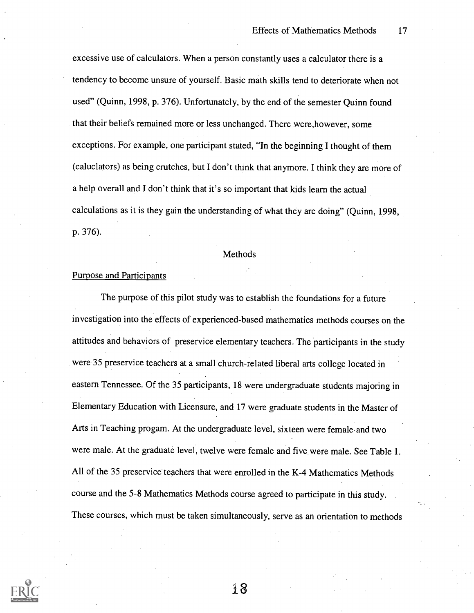excessive use of calculators. When a person constantly uses a calculator there is a tendency to become unsure of yourself. Basic math skills tend to deteriorate when not used" (Quinn, 1998, p. 376). Unfortunately, by the end of the semester Quinn found that their beliefs remained more or less unchanged. There were,however, some exceptions. For example, one participant stated, "In the beginning I thought of them (caluclators) as being crutches, but I don't think that anymore. I think they are more of a help overall and I don't think that it's so important that kids learn the actual calculations as it is they gain the understanding of what they are doing" (Quinn, 1998, p. 376).

#### **Methods**

#### Purpose and Participants

The purpose of this pilot study was to establish the foundations for a future investigation into the effects of experienced-based mathematics methods courses on the attitudes and behaviors of preservice elementary teachers. The participants in the study were 35 preservice teachers at a small church-related liberal arts college located in eastern Tennessee. Of the 35 participants, 18 were undergraduate students majoring in Elementary Education with Licensure, and 17 were graduate students in the Master of Arts in Teaching progam. At the undergraduate level, sixteen were female and two were male. At the graduate level, twelve were female and five were male. See Table 1. All of the 35 preservice teachers that were enrolled in the K-4 Mathematics Methods course and the 5-8 Mathematics Methods course agreed to participate in this study. These courses, which must be taken simultaneously, serve as an orientation to methods

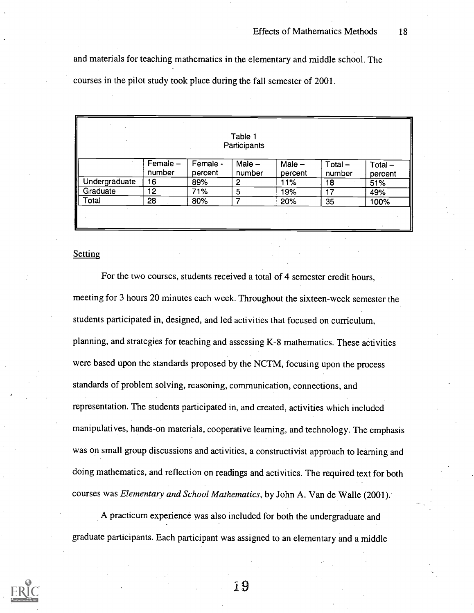and materials for teaching mathematics in the elementary and middle school. The courses in the pilot study took place during the fall semester of 2001.

|               |                    |                     | Table 1<br>Participants |                     |                     |                      |
|---------------|--------------------|---------------------|-------------------------|---------------------|---------------------|----------------------|
|               | Female -<br>number | Female -<br>percent | Male $-$<br>number      | Male $-$<br>percent | $Total -$<br>number | $Total -$<br>percent |
| Undergraduate | 16                 | 89%                 | 2                       | 11%                 | 18                  | 51%                  |
| Graduate      | 12                 | 71%                 | 5                       | 19%                 | 17                  | 49%                  |
| Total         | 28                 | 80%                 | 7                       | 20%                 | 35                  | 100%                 |

### **Setting**

For the two courses, students received a total of 4 semester credit hours, meeting for 3 hours 20 minutes each week. Throughout the sixteen-week semester the students participated in, designed, and led activities that focused on curriculum, planning, and strategies for teaching and assessing K-8 mathematics. These activities were based upon the standards proposed by the NCTM, focusing upon the process standards of problem solving, reasoning, communication, connections, and representation. The students participated in, and created, activities which included manipulatives, hands-on materials, cooperative learning, and technology. The emphasis was on small group discussions and activities, a constructivist approach to learning and doing mathematics, and reflection on readings and activities. The required text for both courses was Elementary and School Mathematics, by John A. Van de Walle (2001):

A practicum experience was also included for both the undergraduate and graduate participants. Each participant was assigned to an elementary and a middle

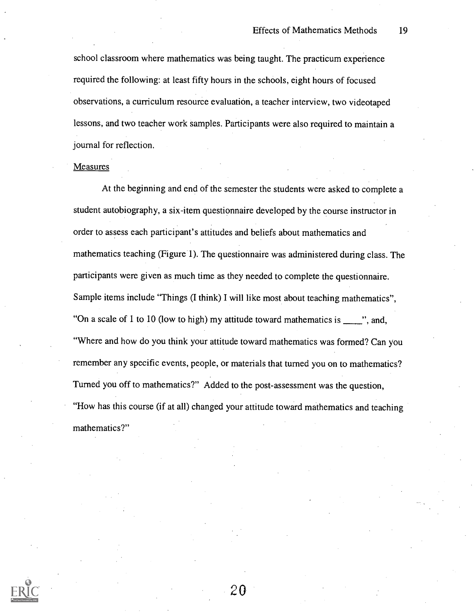school classroom where mathematics was being taught. The practicum experience required the following: at least fifty hours in the schools, eight hours of focused observations, a curriculum resource evaluation, a teacher interview, two videotaped lessons, and two teacher work samples. Participants were also required to maintain a journal for reflection.

#### **Measures**

At the beginning and end of the semester the students were asked to complete a student autobiography, a six-item questionnaire developed by the course instructor in order to assess each participant's attitudes and beliefs about mathematics and mathematics teaching (Figure 1). The questionnaire was administered during class. The participants were given as much time as they needed to complete the questionnaire. Sample items include "Things (I think) I will like most about teaching mathematics", "On a scale of 1 to 10 (low to high) my attitude toward mathematics is  $\frac{1}{\sqrt{2}}$ , and, "Where and how do you think your attitude toward mathematics was formed? Can you remember any specific events, people, or materials that turned you on to mathematics? Turned you off to mathematics?" Added to the post-assessment was the question, "How has this course (if at all) changed your attitude toward mathematics and teaching mathematics?"

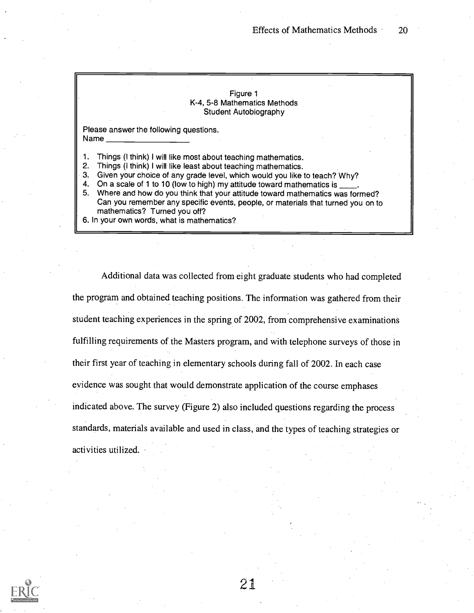#### Figure 1 K-4, 5-8 Mathematics Methods Student Autobiography

Please answer the following questions. Name

1. Things (I think) I will like most about teaching mathematics.

2. Things (I think) I will like least about teaching mathematics.

3. Given your choice of any grade level, which would you like to teach? Why?

4. On a scale of 1 to 10 (low to high) my attitude toward mathematics is

5. Where and how do you think that your attitude toward mathematics was formed? Can you remember any specific events, people, or materials that turned you on to mathematics? Turned you off?

6. In your own words, what is mathematics?

Additional data was collected from eight graduate students who had completed the program and obtained teaching positions. The information was gathered from their student teaching experiences in the spring of 2002, from comprehensive examinations fulfilling requirements of the Masters program, and with telephone surveys of those in their first year of teaching in elementary schools during fall of 2002. In each case evidence was sought that would demonstrate application of the course emphases indicated above. The survey (Figure 2) also included questions regarding the process standards, materials available and used in class, and the types of teaching strategies or activities utilized.

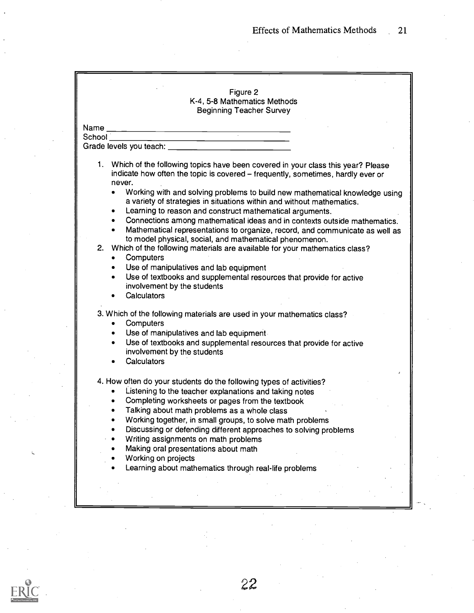|                     | Figure 2                                                                                                                                                                                                                                                                                                                                                                                                                                                                                                                                                                                                                                                                                                                                                                                                                                                                                                                                |
|---------------------|-----------------------------------------------------------------------------------------------------------------------------------------------------------------------------------------------------------------------------------------------------------------------------------------------------------------------------------------------------------------------------------------------------------------------------------------------------------------------------------------------------------------------------------------------------------------------------------------------------------------------------------------------------------------------------------------------------------------------------------------------------------------------------------------------------------------------------------------------------------------------------------------------------------------------------------------|
|                     | K-4, 5-8 Mathematics Methods                                                                                                                                                                                                                                                                                                                                                                                                                                                                                                                                                                                                                                                                                                                                                                                                                                                                                                            |
|                     | <b>Beginning Teacher Survey</b>                                                                                                                                                                                                                                                                                                                                                                                                                                                                                                                                                                                                                                                                                                                                                                                                                                                                                                         |
| Name                | <u> 1980 - Andrea Andrew Amerikaansk konst</u>                                                                                                                                                                                                                                                                                                                                                                                                                                                                                                                                                                                                                                                                                                                                                                                                                                                                                          |
| School_             | <u> 1989 - Johann Harry Barn, mars ar breist fan de Fryske kommunent († 1951)</u>                                                                                                                                                                                                                                                                                                                                                                                                                                                                                                                                                                                                                                                                                                                                                                                                                                                       |
|                     |                                                                                                                                                                                                                                                                                                                                                                                                                                                                                                                                                                                                                                                                                                                                                                                                                                                                                                                                         |
|                     | 1. Which of the following topics have been covered in your class this year? Please<br>indicate how often the topic is covered - frequently, sometimes, hardly ever or<br>never.<br>Working with and solving problems to build new mathematical knowledge using<br>$\bullet$<br>a variety of strategies in situations within and without mathematics.<br>Learning to reason and construct mathematical arguments.<br>٠<br>Connections among mathematical ideas and in contexts outside mathematics.<br>$\bullet$<br>Mathematical representations to organize, record, and communicate as well as<br>to model physical, social, and mathematical phenomenon.<br>2. Which of the following materials are available for your mathematics class?<br>Computers<br>$\bullet$<br>Use of manipulatives and lab equipment<br>٠<br>Use of textbooks and supplemental resources that provide for active<br>$\bullet$<br>involvement by the students |
| ٠<br>٠<br>$\bullet$ | Calculators<br>3. Which of the following materials are used in your mathematics class?<br>Computers<br>Use of manipulatives and lab equipment.<br>Use of textbooks and supplemental resources that provide for active<br>involvement by the students<br>Calculators                                                                                                                                                                                                                                                                                                                                                                                                                                                                                                                                                                                                                                                                     |
|                     | 4. How often do your students do the following types of activities?<br>Listening to the teacher explanations and taking notes<br>Completing worksheets or pages from the textbook<br>Talking about math problems as a whole class<br>Working together, in small groups, to solve math problems<br>Discussing or defending different approaches to solving problems<br>Writing assignments on math problems<br>Making oral presentations about math<br>Working on projects<br>Learning about mathematics through real-life problems                                                                                                                                                                                                                                                                                                                                                                                                      |
|                     |                                                                                                                                                                                                                                                                                                                                                                                                                                                                                                                                                                                                                                                                                                                                                                                                                                                                                                                                         |

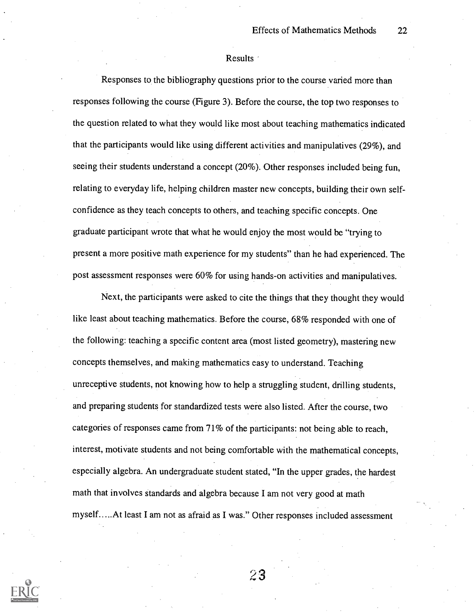#### Results of

Responses to the bibliography questions prior to the course varied more than responses following the course (Figure 3). Before the course, the top two responses to the question related to what they would like most about teaching mathematics indicated that the participants would like using different activities and manipulatives (29%), and seeing their students understand a concept (20%). Other responses included being fun, relating to everyday life, helping children master new concepts, building their own selfconfidence as they teach concepts to others, and teaching specific concepts. One graduate participant wrote that what he would enjoy the most would be "trying to present a more positive math experience for my students" than he had experienced. The post assessment responses were 60% for using hands-on activities and manipulatives.

Next, the participants were asked to cite the things that they thought they would like least about teaching mathematics. Before the course, 68% responded with one of the following: teaching a specific content area (most listed geometry), mastering new concepts themselves, and making mathematics easy to understand. Teaching unreceptive students, not knowing how to help a struggling student, drilling students, and preparing students for standardized tests were also listed. After the course, two categories of responses came from 71% of the participants: not being able to reach, interest, motivate students and not being comfortable with the mathematical concepts, especially algebra. An undergraduate student stated, "In the upper grades, the hardest math that involves standards and algebra because I am not very good at math myself.....At least I am not as afraid as I was." Other responses included assessment

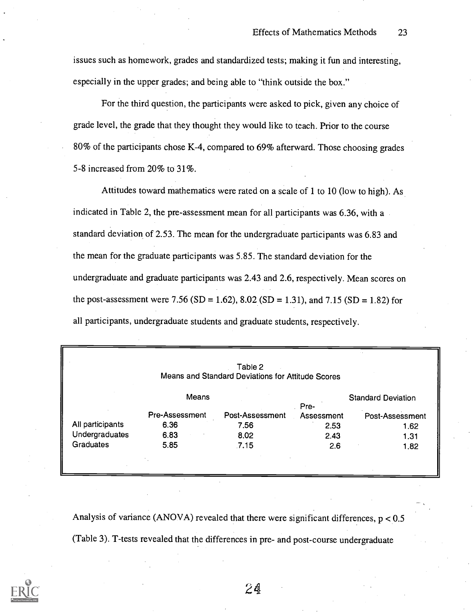issues such as homework, grades and standardized tests; making it fun and interesting, especially in the upper grades; and being able to "think outside the box."

For the third question, the participants were asked to pick, given any choice of grade level, the grade that they thought they would like to teach. Prior to the course 80% of the participants chose K-4, compared to 69% afterward. Those choosing grades 5-8 increased from 20% to 31%.

Attitudes toward mathematics were rated on a scale of 1 to 10 (low to high). As indicated in Table 2, the pre-assessment mean for all participants was 6.36, with a standard deviation of 2.53. The mean for the undergraduate participants was 6.83 and the mean for the graduate participants was 5.85. The standard deviation for the undergraduate and graduate participants was 2.43 and 2.6, respectively. Mean scores on the post-assessment were 7.56 (SD = 1.62), 8.02 (SD = 1.31), and 7.15 (SD = 1.82) for all participants, undergraduate students and graduate students, respectively.

|                  |                | Table 2<br>Means and Standard Deviations for Attitude Scores |                    |                           |
|------------------|----------------|--------------------------------------------------------------|--------------------|---------------------------|
|                  | Means          |                                                              |                    | <b>Standard Deviation</b> |
|                  | Pre-Assessment | Post-Assessment                                              | Pre-<br>Assessment | Post-Assessment           |
| All participants | 6.36           | 7.56                                                         | 2.53               | 1.62                      |
| Undergraduates   | 6.83           | 8.02                                                         | 2.43               | 1.31                      |
| <b>Graduates</b> | 5.85           | .7.15                                                        | 2.6                | 1.82                      |

Analysis of variance (ANOVA) revealed that there were significant differences,  $p < 0.5$ (Table 3). T-tests revealed that the differences in pre- and post-course undergraduate

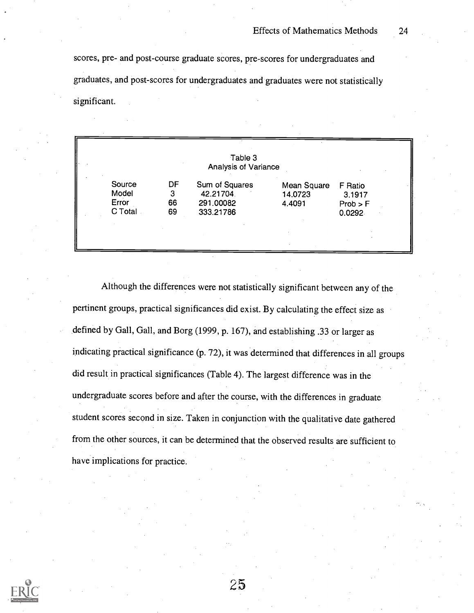scores, pre- and post-course graduate scores, pre-scores for undergraduates and graduates, and post-scores for undergraduates and graduates were not statistically significant.

|                                     |                     | Table 3<br><b>Analysis of Variance</b>                |                                  |                                         |
|-------------------------------------|---------------------|-------------------------------------------------------|----------------------------------|-----------------------------------------|
| Source<br>Model<br>Error<br>C Total | DF<br>3<br>66<br>69 | Sum of Squares<br>42.21704.<br>291.00082<br>333.21786 | Mean Square<br>14.0723<br>4.4091 | F Ratio<br>3.1917<br>Prob > F<br>0.0292 |
|                                     |                     |                                                       |                                  |                                         |

Although the differences were not statistically significant between any of the pertinent groups, practical significances did exist. By calculating the effect size as defined by Gall, Gall, and Borg (1999, p. 167), and establishing .33 or larger as indicating practical significance (p. 72), it was determined that differences in all groups did result in practical significances (Table 4). The largest difference was in the undergraduate scores before and after the course, with the differences in graduate student scores second in size. Taken in conjunction with the qualitative date gathered from the other sources, it can be determined that the observed results are sufficient to have implications for practice.

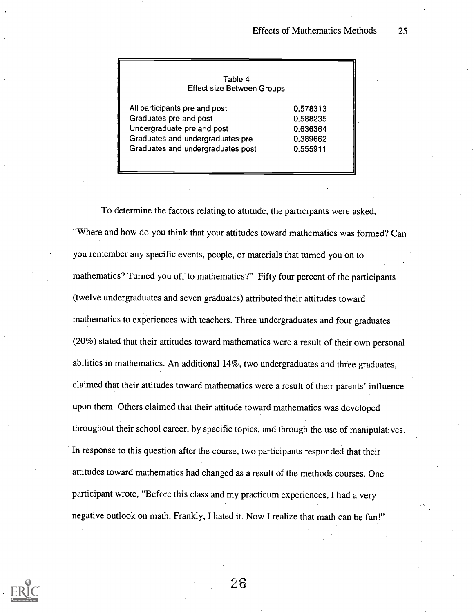| Table 4                           |          |
|-----------------------------------|----------|
| <b>Effect size Between Groups</b> |          |
| All participants pre and post     | 0.578313 |
| Graduates pre and post            | 0.588235 |
| Undergraduate pre and post        | 0.636364 |
| Graduates and undergraduates pre  | 0.389662 |
| Graduates and undergraduates post | 0.555911 |

To determine the factors relating to attitude, the participants were asked, "Where and how do you think that your attitudes toward mathematics was formed? Can you remember any specific events, people, or materials that turned you on to mathematics? Turned you off to mathematics?" Fifty four percent of the participants (twelve undergraduates and seven graduates) attributed their attitudes toward mathematics to experiences with teachers. Three undergraduates and four graduates (20%) stated that their attitudes toward mathematics were a result of their own personal abilities in mathematics. An additional 14%, two undergraduates and three graduates, claimed that their attitudes toward mathematics were a result of their parents' influence upon them. Others claimed that their attitude toward mathematics was developed throughout their school career, by specific topics, and through the use of manipulatives. In response to this question after the course, two participants responded that their attitudes toward mathematics had changed as a result of the methods courses. One participant wrote, "Before this class and my practicum experiences, I had a very negative outlook on math. Frankly, I hated it. Now I realize that math can be fun!"

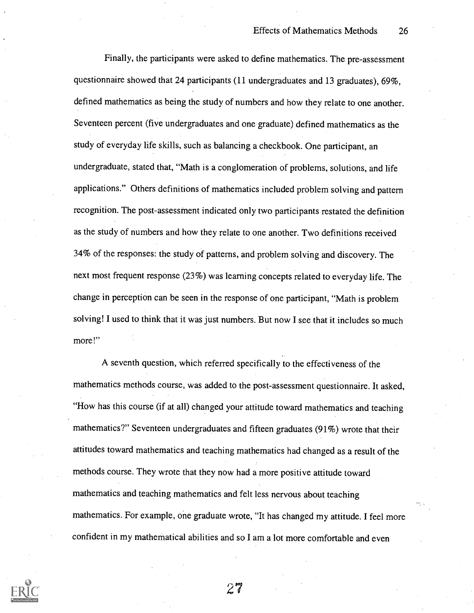Finally, the participants were asked to define mathematics. The pre-assessment questionnaire showed that 24 participants (11 undergraduates and 13 graduates), 69%, defined mathematics as being the study of numbers and how they relate to one another. Seventeen percent (five undergraduates and one graduate) defined mathematics as the study of everyday life skills, such as balancing a checkbook. One participant, an undergraduate, stated that, "Math is a conglomeration of problems, solutions, and life applications." Others definitions of mathematics included problem solving and pattern recognition. The post-assessment indicated only two participants restated the definition as the study of numbers and how they relate to one another. Two definitions received 34% of the responses: the study of patterns, and problem solving and discovery. The next most frequent response (23%) was learning concepts related to everyday life. The change in perception can be seen in the response of one participant, "Mathis problem solving! I used to think that it was just numbers. But now I see that it includes so much more!"

A seventh question, which referred specifically to the effectiveness of the mathematics methods course, was added to the post-assessment questionnaire. It asked, "How has this course (if at all) changed your attitude toward mathematics and teaching mathematics?" Seventeen undergraduates and fifteen graduates (91%) wrote that their attitudes toward mathematics and teaching mathematics had changed as a result of the methods course. They wrote that they now had a more positive attitude toward mathematics and teaching mathematics and felt less nervous about teaching mathematics. For example, one graduate wrote, "It has changed my attitude. I feel more confident in my mathematical abilities and so I am a lot more comfortable and even

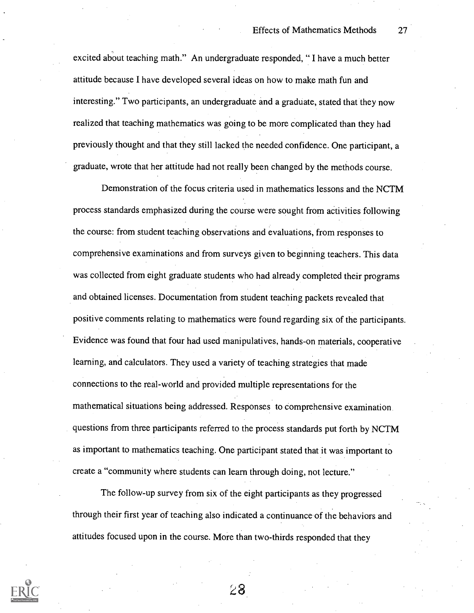excited about teaching math." An undergraduate responded, " I have a much better attitude because I have developed several ideas on how to make math fun and interesting." Two participants, an undergraduate and a graduate, stated that they now realized that teaching mathematics was going to be more complicated than they had previously thought and that they still lacked the needed confidence. One participant, a graduate, wrote that her attitude had not really been changed by the methods course.

Demonstration of the focus criteria used in mathematics lessons and the NCTM process standards emphasized during the course were sought from activities following the course: from student teaching observations and evaluations, from responses to comprehensive examinations and from surveys given to beginning teachers. This data was collected from eight graduate students who had already completed their programs and obtained licenses. Documentation from student teaching packets revealed that positive comments relating to mathematics were found regarding six of the participants. Evidence was found that four had used manipulatives, hands-on materials, cooperative learning, and calculators. They used a variety of teaching strategies that made connections to the real-world and provided multiple representations for the mathematical situations being addressed. Responses to comprehensive examination questions from three participants referred to the process standards put forth by NCTM as important to mathematics teaching. One participant stated that it was important to create a "community where students can learn through doing, not lecture."

The follow-up survey from six of the eight participants as they progressed through their first year of teaching also indicated a continuance of the behaviors and attitudes focused upon in the course. More than two-thirds responded that they

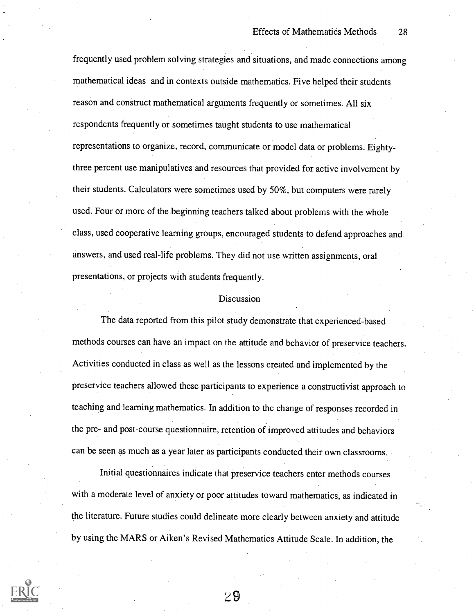frequently used problem solving strategies and situations, and made connections among mathematical ideas and in contexts outside mathematics. Five helped their students reason and construct mathematical arguments frequently or sometimes. All six respondents frequently or sometimes taught students to use mathematical representations to organize, record, communicate or model data or problems. Eightythree percent use manipulatives and resources that provided for active involvement by their students. Calculators were sometimes used by 50%, but computers were rarely used. Four or more of the beginning teachers talked about problems with the whole class, used cooperative learning groups, encouraged students to defend approaches and answers, and used real-life problems. They did not use written assignments, oral presentations, or projects with students frequently.

#### Discussion

The data reported from this pilot study demonstrate that experienced-based methods courses can have an impact on the attitude and behavior of preservice teachers. Activities conducted in class as well as the lessons created and implemented by the preservice teachers allowed these participants to experience a constructivist approach to teaching and learning mathematics. In addition to the change of responses recorded in the pre- and post-course questionnaire, retention of improved attitudes and behaviors can be seen as much as a year later as participants conducted their own classrooms.

Initial questionnaires indicate that preservice teachers enter methods courses with a moderate level of anxiety or poor attitudes toward mathematics, as indicated in the literature. Future studies could delineate more clearly between anxiety and attitude by using the MARS or Aiken's Revised Mathematics Attitude Scale. In addition, the

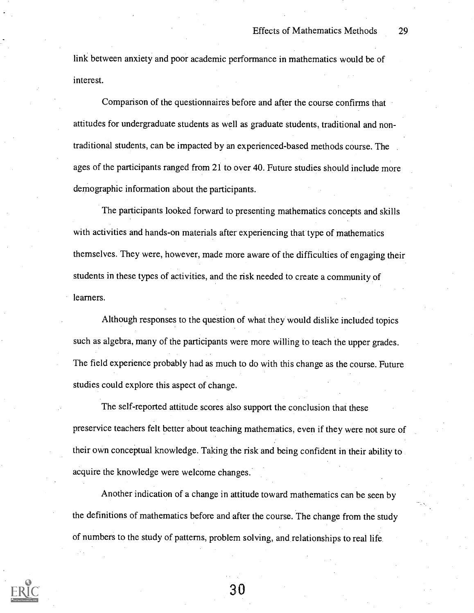link between anxiety and poor academic performance in mathematics would be of interest.

Comparison of the questionnaires before and after the course confirms that attitudes for undergraduate students as well as graduate students, traditional and nontraditional students, can be impacted by an experienced-based methods course. The ages of the participants ranged from 21 to over 40. Future studies should include more demographic information about the participants.

The participants looked forward to presenting mathematics concepts and skills with activities and hands-on materials after experiencing that type of mathematics themselves. They were, however, made more aware of the difficulties of engaging their students in these types of activities, and the risk needed to create a community of learners.

Although responses to the question of what they would dislike included topics such as algebra, many of the participants were more willing to teach the upper grades. The field experience probably had as much to do with this change as the course. Future studies could explore this aspect of change.

The self-reported attitude scores also support the conclusion that these preservice teachers felt better about teaching mathematics, even if they were not sure of their own conceptual knowledge. Taking the risk and being confident in their ability to acquire the knowledge were welcome changes.

Another indication of a change in attitude toward mathematics can be seen by the definitions of mathematics before and after the course. The change from the study of numbers to the study of patterns, problem solving, and relationships to real life.

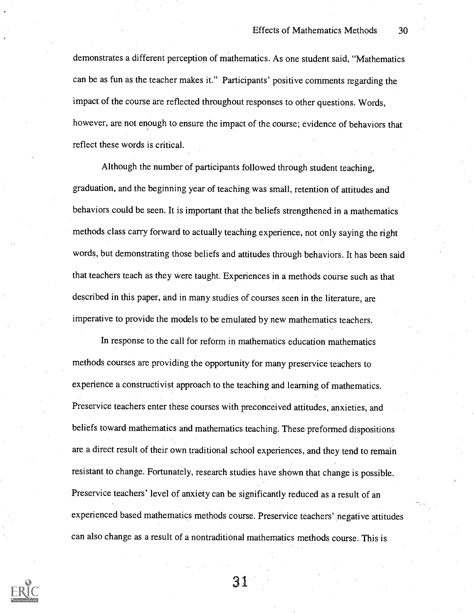demonstrates a different perception of mathematics. As one student said, "Mathematics can be as fun as the teacher makes it." Participants' positive comments regarding the impact of the course are reflected throughout responses to other questions. Words, however, are not enough to ensure the impact of the course; evidence of behaviors that reflect these words is critical.

Although the number of participants followed through student teaching, graduation, and the beginning year of teaching was small, retention of attitudes and behaviors could be seen. It is important that the beliefs strengthened in a mathematics methods class carry forward to actually teaching experience, not only saying the right words, but demonstrating those beliefs and attitudes through behaviors. It has been said that teachers teach as they were taught. Experiences in a methods course such as that described in this paper, and in many studies of courses seen in the literature, are imperative to provide the models to be emulated by new mathematics teachers.

In response to the call for reform in mathematics education mathematics methods courses are providing the opportunity for many preservice teachers to experience a constructivist approach to the teaching and learning of mathematics. Preservice teachers enter these courses with preconceived attitudes, anxieties, and beliefs toward mathematics and mathematics teaching. These preformed dispositions are a direct result of their own traditional school experiences, and they tend to remain resistant to change. Fortunately, research studies have shown that change is possible. Preservice teachers' level of anxiety can be significantly reduced as a result of an experienced based mathematics methods course. Preservice teachers' negative attitudes can also change as a result of a nontraditional mathematics methods course. This is

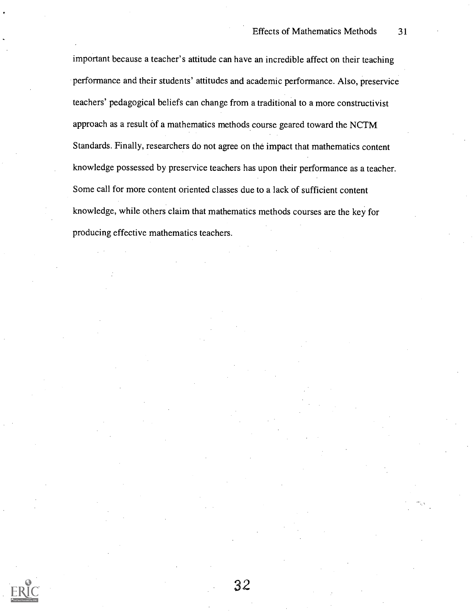important because a teacher's attitude can have an incredible affect on their teaching performance and their students' attitudes and academic performance. Also, preservice teachers' pedagogical beliefs can change from a traditional to a more constructivist approach as a result of a mathematics methods course geared toward the NCTM Standards. Finally, researchers do not agree on the impact that mathematics content knowledge possessed by preservice teachers has upon their performance as a teacher. Some call for more content oriented classes due to a lack of sufficient content knowledge, while others claim that mathematics methods courses are the key for producing effective mathematics teachers.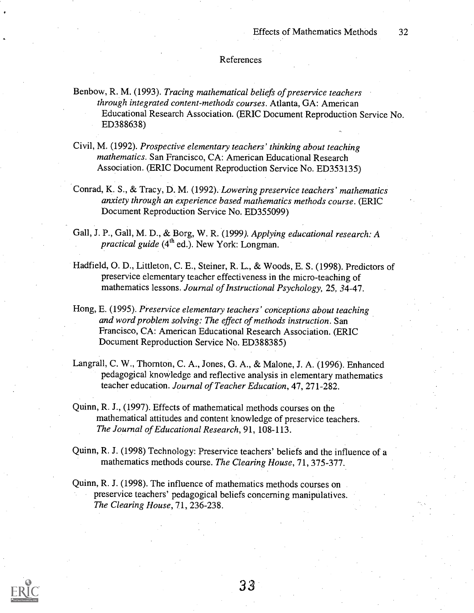#### References

- Benbow, R. M. (1993). Tracing mathematical beliefs of preservice teachers through integrated content-methods courses. Atlanta, GA: American Educational Research Association. (ERIC Document Reproduction Service No. ED388638)
- Civil, M. (1992). Prospective elementary teachers' thinking about teaching mathematics. San Francisco, CA: American Educational Research Association. (ERIC Document Reproduction Service No. ED353135)
- Conrad, K. S., & Tracy, D. M. (1992). Lowering preservice teachers' mathematics anxiety through an experience based mathematics methods course. (ERIC Document Reproduction Service No. ED355099)
- Gall, J. P., Gall, M. D., & Borg, W. R. (1999). Applying educational research: A practical guide  $(4^{th}$  ed.). New York: Longman.
- Hadfield, 0. D., Littleton, C. E., Steiner, R. L., & Woods, E. S. (1998). Predictors of preservice elementary teacher effectiveness in the micro-teaching of mathematics lessons. Journal of Instructional Psychology, 25, 34-47.
- Hong, E. (1995). Preservice elementary teachers' conceptions about teaching and word problem solving: The effect of methods instruction. San Francisco, CA: American Educational Research Association. (ERIC Document Reproduction Service No. ED388385)
- Langrall, C. W., Thornton, C. A., Jones, G. A., & Malone, J. A. (1996). Enhanced pedagogical knowledge and reflective analysis in elementary mathematics teacher education. Journal of Teacher Education, 47, 271-282.
- Quinn, R. J., (1997). Effects of mathematical methods courses on the mathematical attitudes and content knowledge of preservice teachers. The Journal of Educational Research, 91, 108-113.
- Quinn, R. J. (1998) Technology: Preservice teachers' beliefs and the influence of a mathematics methods course. The Clearing House, 71, 375-377.
- Quinn, R. J. (1998). The influence of mathematics methods courses on preservice teachers' pedagogical beliefs concerning manipulatives. The Clearing House, 71, 236-238.

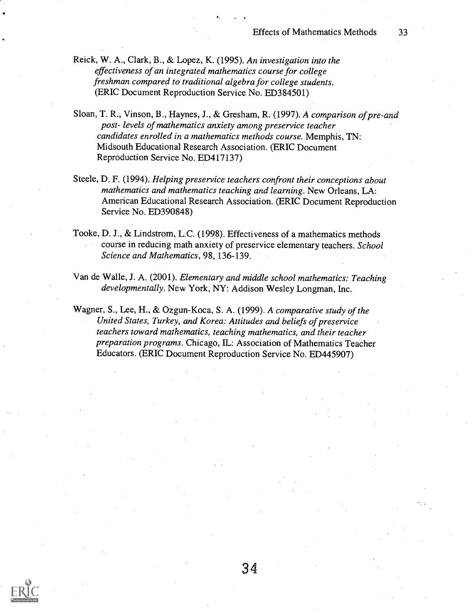- Reick, W. A., Clark, B., & Lopez, K. (1995). An investigation into the effectiveness of an integrated mathematics course for college freshman compared to traditional algebra for college students. (ERIC Document Reproduction Service No. ED384501)
- Sloan, T. R., Vinson, B., Haynes, J., & Gresham, R. (1997). A comparison of pre-and post- levels of mathematics anxiety among preservice teacher candidates enrolled in a mathematics methods course. Memphis, TN: Midsouth Educational Research Association. (ERIC Document Reproduction Service No. ED417137)
- Steele, D. F. (1994). Helping preservice teachers confront their conceptions about mathematics and mathematics teaching and learning. New Orleans, LA: American Educational Research Association. (ERIC Document Reproduction Service No. ED390848)
- Tooke, D. J., & Lindstrom, L.C. (1998). Effectiveness of a mathematics methods course in reducing math anxiety of preservice elementary teachers. School Science and Mathematics, 98, 136-139.
- Van de Walle, J. A. (2001). Elementary and middle school mathematics: Teaching developmentally. New York, NY: Addison Wesley Longman, Inc.

Wagner, S., Lee, H., & Ozgun-Koca, S. A. (1999). A comparative study of the United States, Turkey, and Korea: Attitudes and beliefs of preservice teachers toward mathematics, teaching mathematics, and their teacher preparation programs. Chicago, IL: Association of Mathematics Teacher Educators. (ERIC Document Reproduction Service No. ED445907)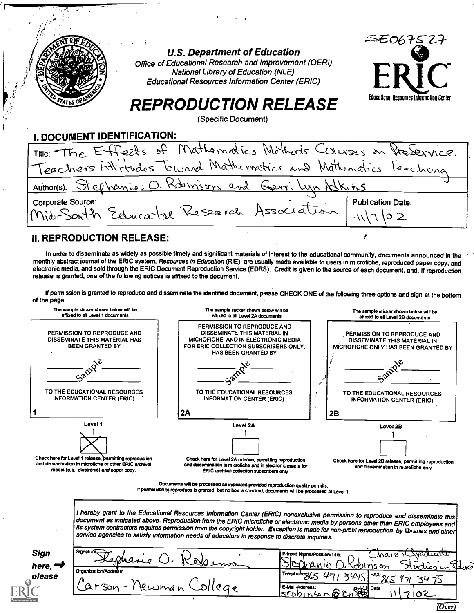|                                      | <b>U.S. Department of Education</b><br>Office of Educational Research and Improvement (OERI)<br><b>National Library of Education (NLE)</b><br><b>Educational Resources Information Center (ERIC)</b> | 55067527                                 |
|--------------------------------------|------------------------------------------------------------------------------------------------------------------------------------------------------------------------------------------------------|------------------------------------------|
|                                      | <b>REPRODUCTION RELEASE</b><br>(Specific Document)                                                                                                                                                   | Educational Resources Information Center |
| . DOCUMENT IDENTIFICATION:           |                                                                                                                                                                                                      |                                          |
|                                      | Title: The Effects of Mathematics Mothods Courses in Presenvice                                                                                                                                      |                                          |
|                                      | Teachers Atitudes Toward Mathematics and Mathematics Teaching                                                                                                                                        |                                          |
|                                      | Author(s): Stephenie O. Robinson and Gerri Lyn Alkins                                                                                                                                                |                                          |
| Corporate Source:<br>Mit-South Educa | Research Association                                                                                                                                                                                 | <b>Publication Date:</b>                 |

### II. REPRODUCTION RELEASE:

 $\overline{\mathcal{M}}_{\mathfrak{m}}$ 

In order to disseminate as widely as possible timely and significant materials of interest to the educational community, documents announced in the monthly abstract journal of the ERIC system, Resources in Education (RIE), are usually made available to users in microfiche, reproduced paper copy, and electronic media, and sold through the ERIC Document Reproduction Service (EDRS). Credit is given to the source of each document, and, if reproduction release is granted, one of the following notices is affixed to the document.

ł

If permission is granted to reproduce and disseminate the identified document, please CHECK ONE of the following three options and sign at the bottom of the page.



| <b>Sign</b><br>here, | Signature:<br>Kephane<br>~<br>$\delta M$<br>mor | Wadusto<br>Printed Name/Position/Title:<br>' Mair<br>ঁ সভাি<br>brania<br>joblnson<br>TU va<br>ttirthes in |
|----------------------|-------------------------------------------------|-----------------------------------------------------------------------------------------------------------|
| please               | Organization/Address:                           | Telephone $\sigma$ / $\sim$<br>$>$ $U$ $U$ $\subset$ $V$ $\subset$ $\subset$<br>כמו<br>∞                  |
|                      | ngon<br>ιο,<br>Æ.<br>clima<br>$\sim$            | E-Mail Address.<br>ed Date:<br>$s$ robinson $\partial v$                                                  |

 $\overline{(Over)}$